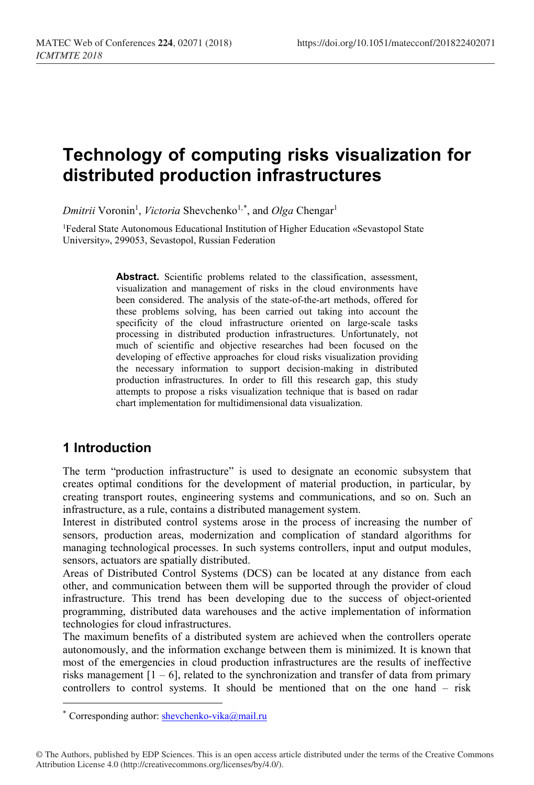# **Technology of computing risks visualization for distributed production infrastructures**

 $Dmitrii$  Voronin<sup>1</sup>, *Victoria* Shevchenko<sup>1,[\\*](#page-0-0)</sup>, and *Olga* Chengar<sup>1</sup>

1Federal State Autonomous Educational Institution of Higher Education «Sevastopol State University», 299053, Sevastopol, Russian Federation

> Abstract. Scientific problems related to the classification, assessment, visualization and management of risks in the cloud environments have been considered. The analysis of the state-of-the-art methods, offered for these problems solving, has been carried out taking into account the specificity of the cloud infrastructure oriented on large-scale tasks processing in distributed production infrastructures. Unfortunately, not much of scientific and objective researches had been focused on the developing of effective approaches for cloud risks visualization providing the necessary information to support decision-making in distributed production infrastructures. In order to fill this research gap, this study attempts to propose a risks visualization technique that is based on radar chart implementation for multidimensional data visualization.

### **1 Introduction**

 $\overline{a}$ 

The term "production infrastructure" is used to designate an economic subsystem that creates optimal conditions for the development of material production, in particular, by creating transport routes, engineering systems and communications, and so on. Such an infrastructure, as a rule, contains a distributed management system.

Interest in distributed control systems arose in the process of increasing the number of sensors, production areas, modernization and complication of standard algorithms for managing technological processes. In such systems controllers, input and output modules, sensors, actuators are spatially distributed.

Areas of Distributed Control Systems (DCS) can be located at any distance from each other, and communication between them will be supported through the provider of cloud infrastructure. This trend has been developing due to the success of object-oriented programming, distributed data warehouses and the active implementation of information technologies for cloud infrastructures.

The maximum benefits of a distributed system are achieved when the controllers operate autonomously, and the information exchange between them is minimized. It is known that most of the emergencies in cloud production infrastructures are the results of ineffective risks management  $[1 - 6]$ , related to the synchronization and transfer of data from primary controllers to control systems. It should be mentioned that on the one hand – risk

<span id="page-0-0"></span><sup>\*</sup> Corresponding author: shevchenko-vika@mail.ru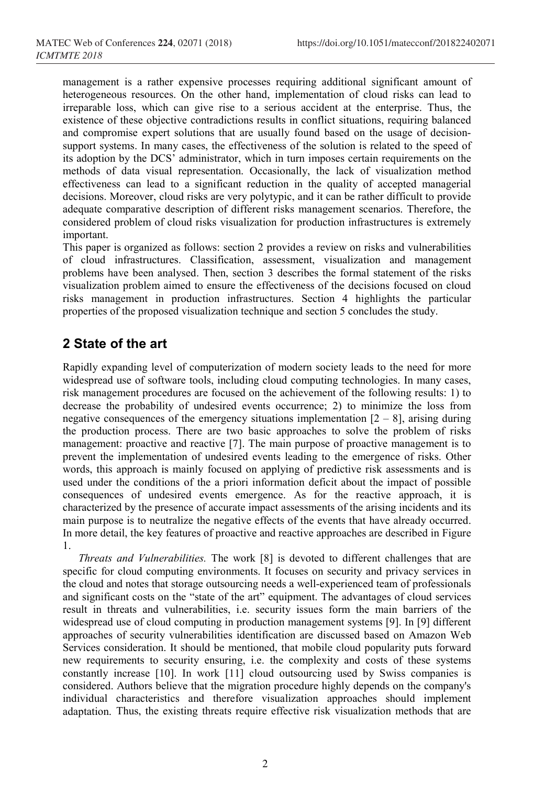management is a rather expensive processes requiring additional significant amount of heterogeneous resources. On the other hand, implementation of cloud risks can lead to irreparable loss, which can give rise to a serious accident at the enterprise. Thus, the existence of these objective contradictions results in conflict situations, requiring balanced and compromise expert solutions that are usually found based on the usage of decisionsupport systems. In many cases, the effectiveness of the solution is related to the speed of its adoption by the DCS' administrator, which in turn imposes certain requirements on the methods of data visual representation. Occasionally, the lack of visualization method effectiveness can lead to a significant reduction in the quality of accepted managerial decisions. Moreover, cloud risks are very polytypic, and it can be rather difficult to provide adequate comparative description of different risks management scenarios. Therefore, the considered problem of cloud risks visualization for production infrastructures is extremely important.

This paper is organized as follows: section 2 provides a review on risks and vulnerabilities of cloud infrastructures. Classification, assessment, visualization and management problems have been analysed. Then, section 3 describes the formal statement of the risks visualization problem aimed to ensure the effectiveness of the decisions focused on cloud risks management in production infrastructures. Section 4 highlights the particular properties of the proposed visualization technique and section 5 concludes the study.

### **2 State of the art**

Rapidly expanding level of computerization of modern society leads to the need for more widespread use of software tools, including cloud computing technologies. In many cases, risk management procedures are focused on the achievement of the following results: 1) to decrease the probability of undesired events occurrence; 2) to minimize the loss from negative consequences of the emergency situations implementation  $[2 - 8]$ , arising during the production process. There are two basic approaches to solve the problem of risks management: proactive and reactive [7]. The main purpose of proactive management is to prevent the implementation of undesired events leading to the emergence of risks. Other words, this approach is mainly focused on applying of predictive risk assessments and is used under the conditions of the a priori information deficit about the impact of possible consequences of undesired events emergence. As for the reactive approach, it is characterized by the presence of accurate impact assessments of the arising incidents and its main purpose is to neutralize the negative effects of the events that have already occurred. In more detail, the key features of proactive and reactive approaches are described in Figure 1.

*Threats and Vulnerabilities.* The work [8] is devoted to different challenges that are specific for cloud computing environments. It focuses on security and privacy services in the cloud and notes that storage outsourcing needs a well-experienced team of professionals and significant costs on the "state of the art" equipment. The advantages of cloud services result in threats and vulnerabilities, i.e. security issues form the main barriers of the widespread use of cloud computing in production management systems [9]. In [9] different approaches of security vulnerabilities identification are discussed based on Amazon Web Services consideration. It should be mentioned, that mobile cloud popularity puts forward new requirements to security ensuring, i.e. the complexity and costs of these systems constantly increase [10]. In work [11] cloud outsourcing used by Swiss companies is considered. Authors believe that the migration procedure highly depends on the company's individual characteristics and therefore visualization approaches should implement adaptation. Thus, the existing threats require effective risk visualization methods that are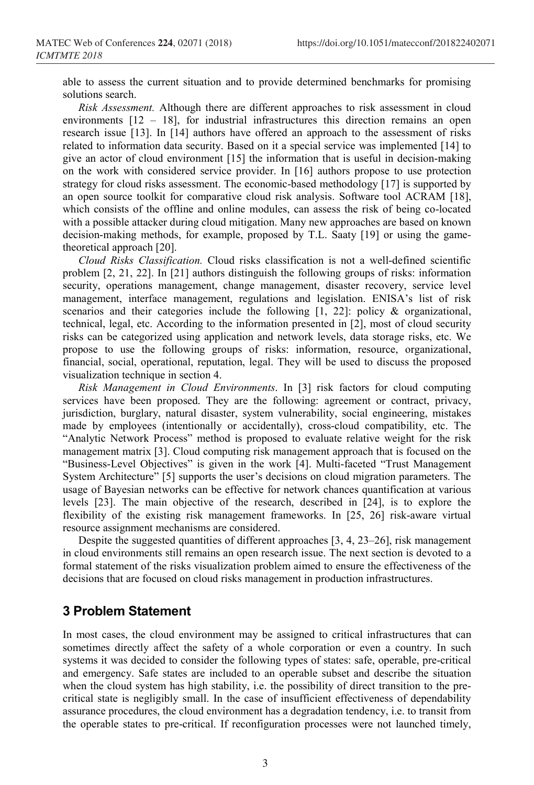able to assess the current situation and to provide determined benchmarks for promising solutions search.

*Risk Assessment.* Although there are different approaches to risk assessment in cloud environments [12 – 18], for industrial infrastructures this direction remains an open research issue [13]. In [14] authors have offered an approach to the assessment of risks related to information data security. Based on it a special service was implemented [14] to give an actor of cloud environment [15] the information that is useful in decision-making on the work with considered service provider. In [16] authors propose to use protection strategy for cloud risks assessment. The economic-based methodology [17] is supported by an open source toolkit for comparative cloud risk analysis. Software tool ACRAM [18], which consists of the offline and online modules, can assess the risk of being co-located with a possible attacker during cloud mitigation. Many new approaches are based on known decision-making methods, for example, proposed by T.L. Saaty [19] or using the gametheoretical approach [20].

*Cloud Risks Classification.* Cloud risks classification is not a well-defined scientific problem [2, 21, 22]. In [21] authors distinguish the following groups of risks: information security, operations management, change management, disaster recovery, service level management, interface management, regulations and legislation. ENISA's list of risk scenarios and their categories include the following [1, 22]: policy & organizational, technical, legal, etc. According to the information presented in [2], most of cloud security risks can be categorized using application and network levels, data storage risks, etc. We propose to use the following groups of risks: information, resource, organizational, financial, social, operational, reputation, legal. They will be used to discuss the proposed visualization technique in section 4.

*Risk Management in Cloud Environments*. In [3] risk factors for cloud computing services have been proposed. They are the following: agreement or contract, privacy, jurisdiction, burglary, natural disaster, system vulnerability, social engineering, mistakes made by employees (intentionally or accidentally), cross-cloud compatibility, etc. The "Analytic Network Process" method is proposed to evaluate relative weight for the risk management matrix [3]. Cloud computing risk management approach that is focused on the "Business-Level Objectives" is given in the work [4]. Multi-faceted "Trust Management System Architecture" [5] supports the user's decisions on cloud migration parameters. The usage of Bayesian networks can be effective for network chances quantification at various levels [23]. The main objective of the research, described in [24], is to explore the flexibility of the existing risk management frameworks. In [25, 26] risk-aware virtual resource assignment mechanisms are considered.

Despite the suggested quantities of different approaches [3, 4, 23–26], risk management in cloud environments still remains an open research issue. The next section is devoted to a formal statement of the risks visualization problem aimed to ensure the effectiveness of the decisions that are focused on cloud risks management in production infrastructures.

#### **3 Problem Statement**

In most cases, the cloud environment may be assigned to critical infrastructures that can sometimes directly affect the safety of a whole corporation or even a country. In such systems it was decided to consider the following types of states: safe, operable, pre-critical and emergency. Safe states are included to an operable subset and describe the situation when the cloud system has high stability, i.e. the possibility of direct transition to the precritical state is negligibly small. In the case of insufficient effectiveness of dependability assurance procedures, the cloud environment has a degradation tendency, i.e. to transit from the operable states to pre-critical. If reconfiguration processes were not launched timely,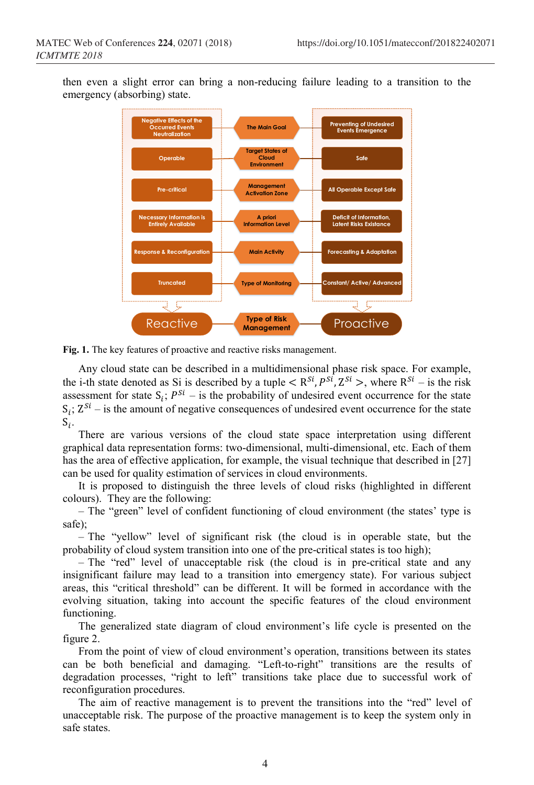then even a slight error can bring a non-reducing failure leading to a transition to the emergency (absorbing) state.



**Fig. 1.** The key features of proactive and reactive risks management.

Any cloud state can be described in a multidimensional phase risk space. For example, the i-th state denoted as Si is described by a tuple  $\lt R^{S_i}, P^{S_i}, Z^{S_i}$ , where  $R^{S_i}$  – is the risk assessment for state  $S_i$ ;  $P^{Si}$  – is the probability of undesired event occurrence for the state  $S_i$ ;  $Z^{Si}$  – is the amount of negative consequences of undesired event occurrence for the state  $S_i$ .

There are various versions of the cloud state space interpretation using different graphical data representation forms: two-dimensional, multi-dimensional, etc. Each of them has the area of effective application, for example, the visual technique that described in [27] can be used for quality estimation of services in cloud environments.

It is proposed to distinguish the three levels of cloud risks (highlighted in different colours). They are the following:

– The "green" level of confident functioning of cloud environment (the states' type is safe);

– The "yellow" level of significant risk (the cloud is in operable state, but the probability of cloud system transition into one of the pre-critical states is too high);

– The "red" level of unacceptable risk (the cloud is in pre-critical state and any insignificant failure may lead to a transition into emergency state). For various subject areas, this "critical threshold" can be different. It will be formed in accordance with the evolving situation, taking into account the specific features of the cloud environment functioning.

The generalized state diagram of cloud environment's life cycle is presented on the figure 2.

From the point of view of cloud environment's operation, transitions between its states can be both beneficial and damaging. "Left-to-right" transitions are the results of degradation processes, "right to left" transitions take place due to successful work of reconfiguration procedures.

The aim of reactive management is to prevent the transitions into the "red" level of unacceptable risk. The purpose of the proactive management is to keep the system only in safe states.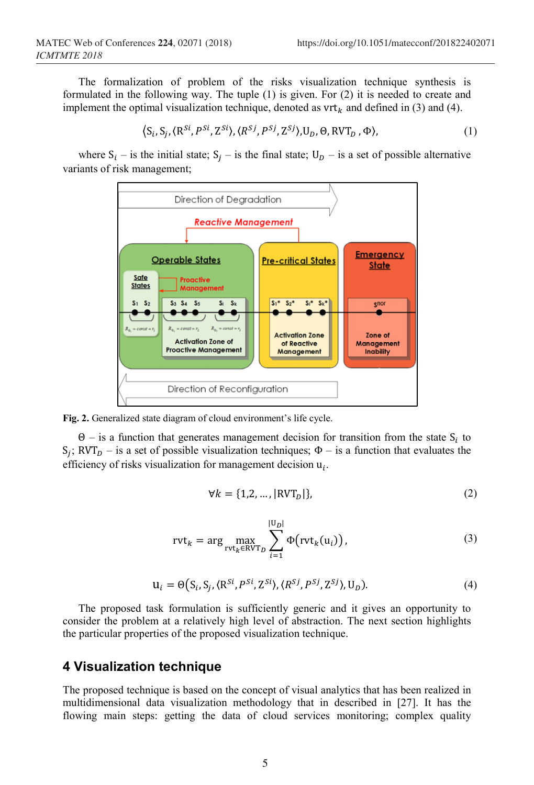The formalization of problem of the risks visualization technique synthesis is formulated in the following way. The tuple (1) is given. For (2) it is needed to create and implement the optimal visualization technique, denoted as  $vrt_k$  and defined in (3) and (4).

$$
\left\langle S_i, S_j, \langle R^{Si}, P^{Si}, Z^{Si} \rangle, \langle R^{Sj}, P^{Sj}, Z^{Sj} \rangle, U_D, \Theta, RVT_D, \Phi \right\rangle, \tag{1}
$$

where  $S_i$  – is the initial state;  $S_i$  – is the final state;  $U_D$  – is a set of possible alternative variants of risk management;





 $Θ$  – is a function that generates management decision for transition from the state  $S_i$  to  $S_i$ ; RVT<sub>D</sub> – is a set of possible visualization techniques;  $\Phi$  – is a function that evaluates the efficiency of risks visualization for management decision  $u_i$ .

$$
\forall k = \{1, 2, \dots, |\text{RVT}_D|\},\tag{2}
$$

$$
rvt_k = \arg \max_{rvt_k \in RVT_D} \sum_{i=1}^{|U_D|} \Phi(rvt_k(u_i)), \qquad (3)
$$

$$
\mathbf{u}_i = \Theta(S_i, S_j, \langle \mathbf{R}^{Si}, P^{Si}, \mathbf{Z}^{Si} \rangle, \langle R^{Sj}, P^{Sj}, \mathbf{Z}^{Sj} \rangle, \mathbf{U}_D). \tag{4}
$$

The proposed task formulation is sufficiently generic and it gives an opportunity to consider the problem at a relatively high level of abstraction. The next section highlights the particular properties of the proposed visualization technique.

### **4 Visualization technique**

The proposed technique is based on the concept of visual analytics that has been realized in multidimensional data visualization methodology that in described in [27]. It has the flowing main steps: getting the data of cloud services monitoring; complex quality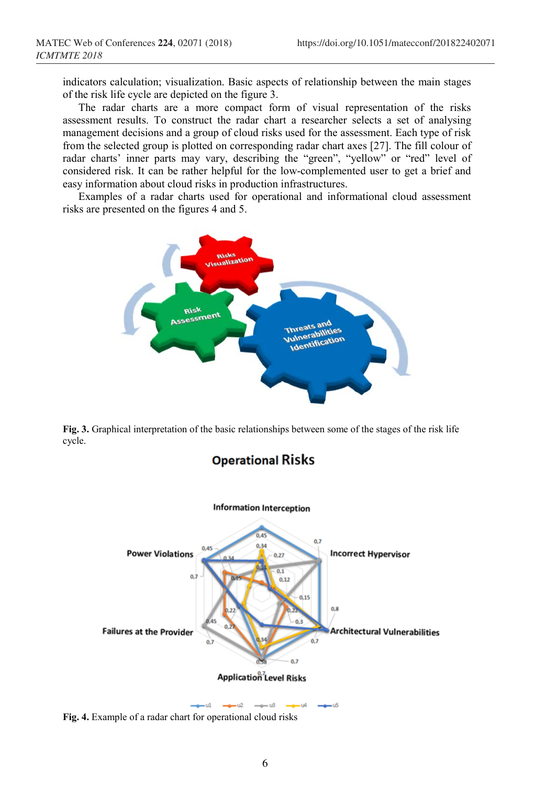indicators calculation; visualization. Basic aspects of relationship between the main stages of the risk life cycle are depicted on the figure 3.

The radar charts are a more compact form of visual representation of the risks assessment results. To construct the radar chart a researcher selects a set of analysing management decisions and a group of cloud risks used for the assessment. Each type of risk from the selected group is plotted on corresponding radar chart axes [27]. The fill colour of radar charts' inner parts may vary, describing the "green", "yellow" or "red" level of considered risk. It can be rather helpful for the low-complemented user to get a brief and easy information about cloud risks in production infrastructures.

Examples of a radar charts used for operational and informational cloud assessment risks are presented on the figures 4 and 5.



**Fig. 3.** Graphical interpretation of the basic relationships between some of the stages of the risk life cycle.

**Operational Risks** 



**Fig. 4.** Example of a radar chart for operational cloud risks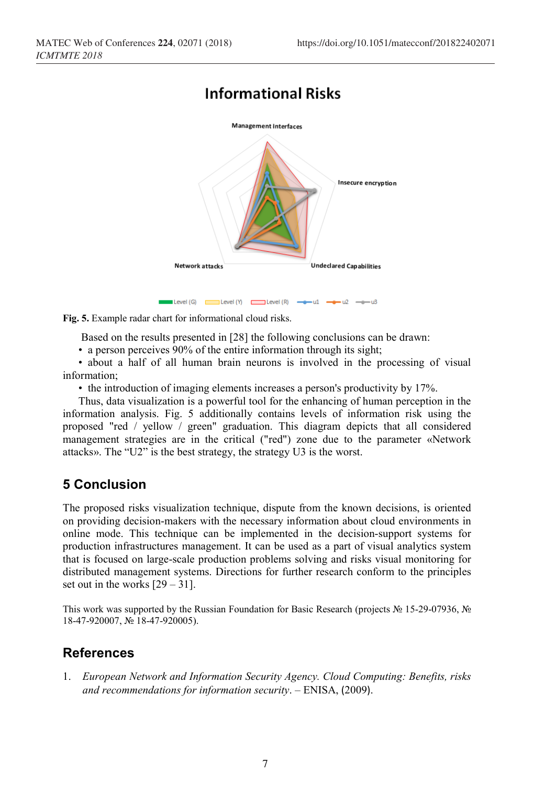# **Informational Risks**



**Fig. 5.** Example radar chart for informational cloud risks.

Based on the results presented in [28] the following conclusions can be drawn:

• a person perceives 90% of the entire information through its sight;

• about a half of all human brain neurons is involved in the processing of visual information;

• the introduction of imaging elements increases a person's productivity by 17%.

Thus, data visualization is a powerful tool for the enhancing of human perception in the information analysis. Fig. 5 additionally contains levels of information risk using the proposed "red / yellow / green" graduation. This diagram depicts that all considered management strategies are in the critical ("red") zone due to the parameter «Network attacks». The "U2" is the best strategy, the strategy U3 is the worst.

### **5 Conclusion**

The proposed risks visualization technique, dispute from the known decisions, is oriented on providing decision-makers with the necessary information about cloud environments in online mode. This technique can be implemented in the decision-support systems for production infrastructures management. It can be used as a part of visual analytics system that is focused on large-scale production problems solving and risks visual monitoring for distributed management systems. Directions for further research conform to the principles set out in the works  $[29 - 31]$ .

This work was supported by the Russian Foundation for Basic Research (projects № 15-29-07936, № 18-47-920007, № 18-47-920005).

### **References**

1. *European Network and Information Security Agency. Cloud Computing: Benefits, risks and recommendations for information security*. – ENISA, (2009).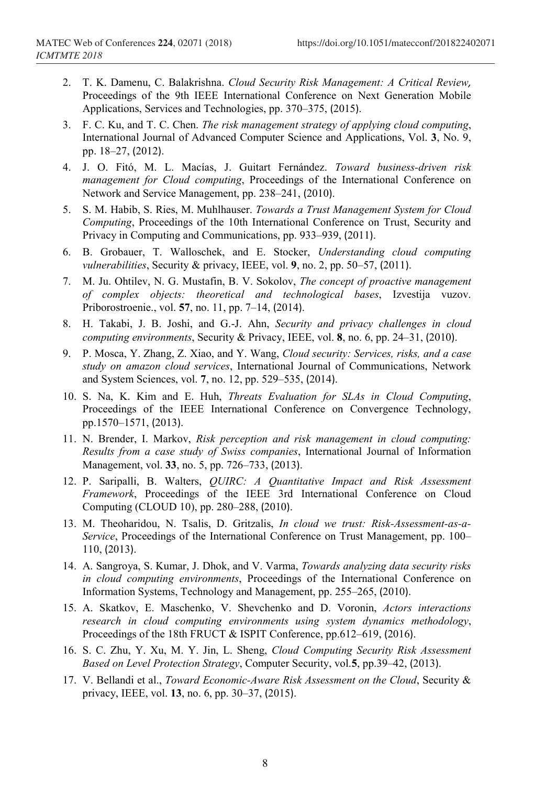- 2. T. K. Damenu, C. Balakrishna. *Cloud Security Risk Management: A Critical Review,* Proceedings of the 9th IEEE International Conference on Next Generation Mobile Applications, Services and Technologies, pp. 370–375, (2015).
- 3. F. C. Ku, and T. C. Chen. *The risk management strategy of applying cloud computing*, International Journal of Advanced Computer Science and Applications, Vol. **3**, No. 9, pp. 18–27, (2012).
- 4. J. O. Fitó, M. L. Macías, J. Guitart Fernández. *Toward business-driven risk management for Cloud computing*, Proceedings of the International Conference on Network and Service Management, pp. 238–241, (2010).
- 5. S. M. Habib, S. Ries, M. Muhlhauser. *Towards a Trust Management System for Cloud Computing*, Proceedings of the 10th International Conference on Trust, Security and Privacy in Computing and Communications, pp. 933–939, (2011).
- 6. B. Grobauer, T. Walloschek, and E. Stocker, *Understanding cloud computing vulnerabilities*, Security & privacy, IEEE, vol. **9**, no. 2, pp. 50–57, (2011).
- 7. M. Ju. Ohtilev, N. G. Mustafin, B. V. Sokolov, *The concept of proactive management of complex objects: theoretical and technological bases*, Izvestija vuzov. Priborostroenie., vol. **57**, no. 11, pp. 7–14, (2014).
- 8. H. Takabi, J. B. Joshi, and G.-J. Ahn, *Security and privacy challenges in cloud computing environments*, Security & Privacy, IEEE, vol. **8**, no. 6, pp. 24–31, (2010).
- 9. P. Mosca, Y. Zhang, Z. Xiao, and Y. Wang, *Cloud security: Services, risks, and a case study on amazon cloud services*, International Journal of Communications, Network and System Sciences, vol. **7**, no. 12, pp. 529–535, (2014).
- 10. S. Na, K. Kim and E. Huh, *Threats Evaluation for SLAs in Cloud Computing*, Proceedings of the IEEE International Conference on Convergence Technology, pp.1570–1571, (2013).
- 11. N. Brender, I. Markov, *Risk perception and risk management in cloud computing: Results from a case study of Swiss companies*, International Journal of Information Management, vol. **33**, no. 5, pp. 726–733, (2013).
- 12. P. Saripalli, B. Walters, *QUIRC: A Quantitative Impact and Risk Assessment Framework*, Proceedings of the IEEE 3rd International Conference on Cloud Computing (CLOUD 10), pp. 280–288, (2010).
- 13. M. Theoharidou, N. Tsalis, D. Gritzalis, *In cloud we trust: Risk-Assessment-as-a-Service*, Proceedings of the International Conference on Trust Management, pp. 100– 110, (2013).
- 14. A. Sangroya, S. Kumar, J. Dhok, and V. Varma, *Towards analyzing data security risks in cloud computing environments*, Proceedings of the International Conference on Information Systems, Technology and Management, pp. 255–265, (2010).
- 15. A. Skatkov, E. Maschenko, V. Shevchenko and D. Voronin, *Actors interactions research in cloud computing environments using system dynamics methodology*, Proceedings of the 18th FRUCT & ISPIT Conference, pp.612–619, (2016).
- 16. S. C. Zhu, Y. Xu, M. Y. Jin, L. Sheng, *Cloud Computing Security Risk Assessment Based on Level Protection Strategy*, Computer Security, vol.**5**, pp.39–42, (2013).
- 17. V. Bellandi et al., *Toward Economic-Aware Risk Assessment on the Cloud*, Security & privacy, IEEE, vol. **13**, no. 6, pp. 30–37, (2015).